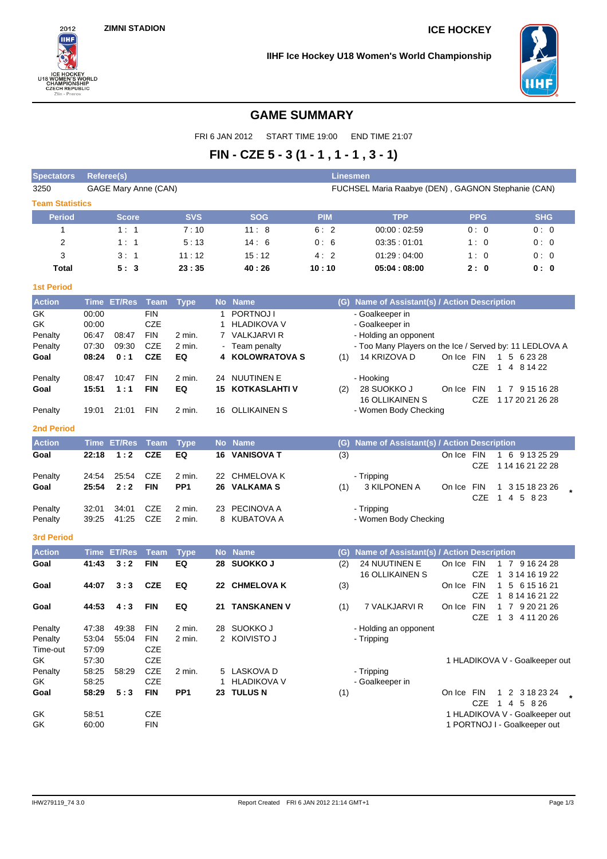

**IIHF Ice Hockey U18 Women's World Championship**



# **GAME SUMMARY**

FRI 6 JAN 2012 START TIME 19:00 END TIME 21:07

# **FIN - CZE 5 - 3 (1 - 1 , 1 - 1 , 3 - 1)**

| <b>Spectators</b>      | <b>Referee(s)</b> |                      |                          |                  |    |                                 |            | <b>Linesmen</b>                                                                  |            |            |                                                 |
|------------------------|-------------------|----------------------|--------------------------|------------------|----|---------------------------------|------------|----------------------------------------------------------------------------------|------------|------------|-------------------------------------------------|
| 3250                   |                   | GAGE Mary Anne (CAN) |                          |                  |    |                                 |            | FUCHSEL Maria Raabye (DEN), GAGNON Stephanie (CAN)                               |            |            |                                                 |
| <b>Team Statistics</b> |                   |                      |                          |                  |    |                                 |            |                                                                                  |            |            |                                                 |
| <b>Period</b>          |                   | <b>Score</b>         |                          | <b>SVS</b>       |    | <b>SOG</b>                      | <b>PIM</b> | <b>TPP</b>                                                                       |            | <b>PPG</b> | <b>SHG</b>                                      |
| 1                      |                   | 1:1                  |                          | 7:10             |    | 11:8                            | 6:2        | 00:00:02:59                                                                      |            | 0:0        | 0:0                                             |
| 2                      |                   | 1:1                  |                          | 5:13             |    | 14:6                            | 0:6        | 03:35:01:01                                                                      |            | 1:0        | 0:0                                             |
| 3                      |                   | 3:1                  |                          | 11:12            |    | 15:12                           | 4:2        | 01.29:04.00                                                                      |            | 1:0        | 0:0                                             |
| <b>Total</b>           |                   | 5:3                  |                          | 23:35            |    | 40:26                           | 10:10      | 05:04:08:00                                                                      |            | 2:0        | 0: 0                                            |
| <b>1st Period</b>      |                   |                      |                          |                  |    |                                 |            |                                                                                  |            |            |                                                 |
| <b>Action</b>          |                   | Time ET/Res          | Team                     | <b>Type</b>      |    | No Name                         |            | (G) Name of Assistant(s) / Action Description                                    |            |            |                                                 |
| GK                     | 00:00             |                      | <b>FIN</b>               |                  | 1  | PORTNOJ I                       |            | - Goalkeeper in                                                                  |            |            |                                                 |
| GK                     | 00:00             |                      | <b>CZE</b>               |                  | 1. | <b>HLADIKOVA V</b>              |            | - Goalkeeper in                                                                  |            |            |                                                 |
| Penalty<br>Penalty     | 06:47<br>07:30    | 08:47<br>09:30       | <b>FIN</b><br><b>CZE</b> | 2 min.<br>2 min. |    | 7 VALKJARVI R<br>- Team penalty |            | - Holding an opponent<br>- Too Many Players on the Ice / Served by: 11 LEDLOVA A |            |            |                                                 |
| Goal                   | 08:24             | 0:1                  | <b>CZE</b>               | EQ               |    | 4 KOLOWRATOVA S                 | (1)        | 14 KRIZOVA D                                                                     | On Ice FIN | CZE        | 1 5 6 23 28<br>1 4 8 14 22                      |
| Penalty                | 08:47             | 10:47                | <b>FIN</b>               | 2 min.           |    | 24 NUUTINEN E                   |            | - Hooking                                                                        |            |            |                                                 |
| Goal                   | 15:51             | 1:1                  | <b>FIN</b>               | EQ               | 15 | KOTKASLAHTI V                   | (2)        | 28 SUOKKO J                                                                      | On Ice FIN |            | 1 7 9 15 16 28                                  |
|                        |                   |                      |                          |                  |    |                                 |            | <b>16 OLLIKAINEN S</b>                                                           |            | CZE        | 1 17 20 21 26 28                                |
| Penalty                | 19:01             | 21:01                | <b>FIN</b>               | 2 min.           |    | 16 OLLIKAINEN S                 |            | - Women Body Checking                                                            |            |            |                                                 |
| <b>2nd Period</b>      |                   |                      |                          |                  |    |                                 |            |                                                                                  |            |            |                                                 |
| <b>Action</b>          |                   | Time ET/Res          | Team                     | <b>Type</b>      |    | No Name                         | (G)        | Name of Assistant(s) / Action Description                                        |            |            |                                                 |
| Goal                   | 22:18             | 1:2                  | <b>CZE</b>               | EQ               |    | <b>16 VANISOVA T</b>            | (3)        |                                                                                  | On Ice FIN | CZE        | 1 6 9 13 25 29<br>1 14 16 21 22 28              |
| Penalty                | 24:54             | 25:54                | CZE                      | 2 min.           |    | 22 CHMELOVA K                   |            | - Tripping                                                                       |            |            |                                                 |
| Goal                   | 25:54             | 2:2                  | <b>FIN</b>               | PP <sub>1</sub>  | 26 | <b>VALKAMA S</b>                | (1)        | 3 KILPONEN A                                                                     | On Ice FIN | CZE        | 3 15 18 23 26<br>1<br>1 4 5 8 23                |
| Penalty                | 32:01             | 34:01                | CZE                      | 2 min.           |    | 23 PECINOVA A                   |            | - Tripping                                                                       |            |            |                                                 |
| Penalty                | 39:25             | 41:25                | <b>CZE</b>               | 2 min.           |    | 8 KUBATOVA A                    |            | - Women Body Checking                                                            |            |            |                                                 |
| <b>3rd Period</b>      |                   |                      |                          |                  |    |                                 |            |                                                                                  |            |            |                                                 |
| <b>Action</b>          | <b>Time</b>       | <b>ET/Res</b>        | <b>Team</b>              | <b>Type</b>      |    | No Name                         | (G)        | Name of Assistant(s) / Action Description                                        |            |            |                                                 |
| Goal                   | 41:43             | 3:2                  | <b>FIN</b>               | EQ               | 28 | <b>SUOKKO J</b>                 | (2)        | 24 NUUTINEN E                                                                    | On Ice FIN |            | 1 7 9 16 24 28                                  |
| Goal                   | 44:07             | 3:3                  | <b>CZE</b>               | EQ               |    | 22 CHMELOVA K                   |            | 16 OLLIKAINEN S                                                                  | On Ice FIN | <b>CZE</b> | 1 3 14 16 19 22<br>$\mathbf{1}$<br>5 6 15 16 21 |
|                        |                   |                      |                          |                  |    |                                 | (3)        |                                                                                  |            | <b>CZE</b> | 1 8 14 16 21 22                                 |
| Goal                   | 44:53             | 4:3                  | <b>FIN</b>               | EQ               |    | 21 TANSKANEN V                  | (1)        | 7 VALKJARVI R                                                                    | On Ice     | FIN        | 1 7 9 20 21 26                                  |
|                        |                   |                      |                          |                  |    |                                 |            |                                                                                  |            | CZE        | 1 3 4 11 20 26                                  |
| Penalty                | 47:38             | 49:38                | <b>FIN</b>               | 2 min.           |    | 28 SUOKKO J                     |            | - Holding an opponent                                                            |            |            |                                                 |
| Penalty                | 53:04             | 55:04                | <b>FIN</b>               | 2 min.           |    | 2 KOIVISTO J                    |            | - Tripping                                                                       |            |            |                                                 |
| Time-out               | 57:09             |                      | CZE                      |                  |    |                                 |            |                                                                                  |            |            |                                                 |
| GK<br>Penalty          | 57:30<br>58:25    | 58:29                | CZE<br>CZE               | 2 min.           |    | 5 LASKOVA D                     |            | - Tripping                                                                       |            |            | 1 HLADIKOVA V - Goalkeeper out                  |
| GK                     | 58:25             |                      | <b>CZE</b>               |                  |    | 1 HLADIKOVA V                   |            | - Goalkeeper in                                                                  |            |            |                                                 |
| Goal                   | 58:29             | 5:3                  | <b>FIN</b>               | PP <sub>1</sub>  |    | 23 TULUS N                      | (1)        |                                                                                  | On Ice FIN |            | 1 2 3 18 23 24                                  |
|                        |                   |                      |                          |                  |    |                                 |            |                                                                                  |            |            | CZE 1 4 5 8 26                                  |
| GK                     | 58:51             |                      | <b>CZE</b>               |                  |    |                                 |            |                                                                                  |            |            | 1 HLADIKOVA V - Goalkeeper out                  |
| GK                     | 60:00             |                      | <b>FIN</b>               |                  |    |                                 |            |                                                                                  |            |            | 1 PORTNOJ I - Goalkeeper out                    |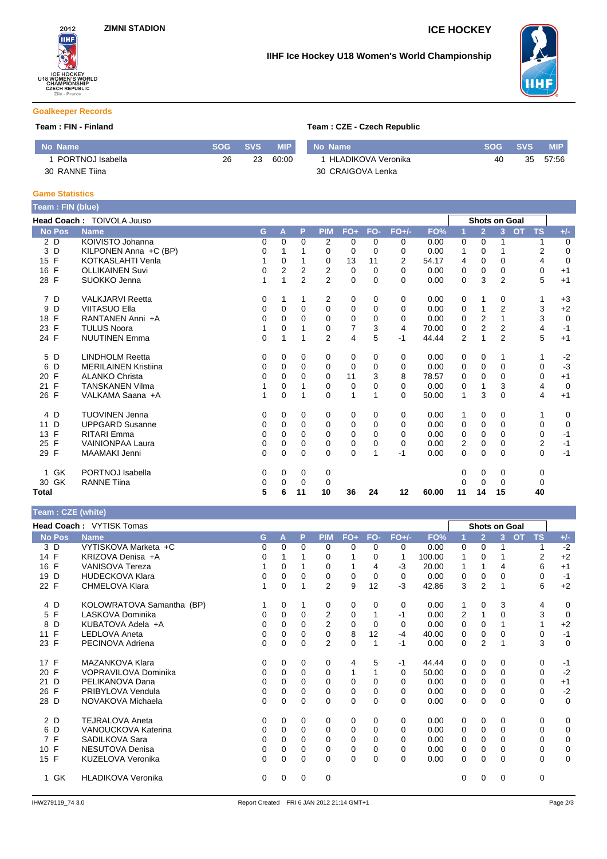

# **IIHF Ice Hockey U18 Women's World Championship**



### **Goalkeeper Records**

### **Team : FIN - Finland**

| <b>No Name</b>   | <b>SOG</b> | <b>SVS</b> | <b>MIP</b> | No Name             | SOG' | <b>SVS</b> | MIP'  |
|------------------|------------|------------|------------|---------------------|------|------------|-------|
| PORTNOJ Isabella | 26         | 23         | 60:00      | 'HLADIKOVA Veronika | 40   | 35         | 57:56 |
| 30 RANNE Tiina   |            |            |            | 30 CRAIGOVA Lenka   |      |            |       |

### **Game Statistics**

| Team: FIN (blue)   |                             |   |                |                |                |                |          |          |       |          |                |                |           |           |                |
|--------------------|-----------------------------|---|----------------|----------------|----------------|----------------|----------|----------|-------|----------|----------------|----------------|-----------|-----------|----------------|
|                    | Head Coach: TOIVOLA Juuso   |   |                |                |                |                |          |          |       |          |                | Shots on Goal  |           |           |                |
| <b>No Pos</b>      | <b>Name</b>                 | G | A              | P              | <b>PIM</b>     | $FO+$          | FO-      | $FO+/-$  | FO%   | И        | $\overline{2}$ | 3 <sup>1</sup> | <b>OT</b> | <b>TS</b> | $+/-$          |
| 2D                 | KOIVISTO Johanna            | 0 | 0              | $\Omega$       | 2              | 0              | 0        | 0        | 0.00  | 0        | 0              |                |           |           | $\mathbf 0$    |
| D<br>3             | KILPONEN Anna +C (BP)       | 0 |                |                | $\Omega$       | $\Omega$       | $\Omega$ | 0        | 0.00  | 1        | $\Omega$       |                |           | 2         | $\mathbf 0$    |
| $\mathsf{F}$<br>15 | KOTKASLAHTI Venla           |   | 0              |                | 0              | 13             | 11       | 2        | 54.17 | 4        | $\Omega$       | 0              |           | 4         | $\mathbf 0$    |
| $\mathsf{F}$<br>16 | <b>OLLIKAINEN Suvi</b>      | 0 | $\overline{2}$ | 2              | 2              | $\mathbf 0$    | $\Omega$ | $\Omega$ | 0.00  | 0        | 0              | $\Omega$       |           | 0         | $+1$           |
| 28 F               | SUOKKO Jenna                |   | 1              | $\overline{2}$ | $\overline{2}$ | $\mathbf 0$    | $\Omega$ | $\Omega$ | 0.00  | 0        | 3              | $\overline{2}$ |           | 5         | $+1$           |
| 7 D                | <b>VALKJARVI Reetta</b>     | 0 | 1              |                | 2              | 0              | 0        | 0        | 0.00  | 0        | 1              | 0              |           | 1         | $+3$           |
| D<br>9             | <b>VIITASUO Ella</b>        | 0 | 0              | 0              | $\mathbf 0$    | 0              | $\Omega$ | 0        | 0.00  | 0        |                | $\overline{2}$ |           | 3         | $+2$           |
| F<br>18            | RANTANEN Anni +A            | 0 | 0              | 0              | 0              | 0              | 0        | 0        | 0.00  | 0        | 2              | 1              |           | 3         | $\mathbf 0$    |
| 23 F               | <b>TULUS Noora</b>          |   | 0              |                | $\Omega$       | $\overline{7}$ | 3        | 4        | 70.00 | $\Omega$ | $\overline{2}$ | $\overline{2}$ |           | 4         | $-1$           |
| 24 F               | <b>NUUTINEN Emma</b>        | 0 | 1              |                | $\overline{2}$ | 4              | 5        | $-1$     | 44.44 | 2        | 1              | $\overline{2}$ |           | 5         | $+1$           |
| 5 D                | <b>LINDHOLM Reetta</b>      | 0 | 0              | 0              | 0              | 0              | 0        | 0        | 0.00  | 0        | 0              | 1              |           | 1         | $-2$           |
| D<br>6             | <b>MERILAINEN Kristiina</b> | 0 | 0              | 0              | $\Omega$       | 0              | $\Omega$ | 0        | 0.00  | 0        | 0              | $\Omega$       |           | $\Omega$  | $-3$           |
| F<br>20            | <b>ALANKO Christa</b>       | 0 | 0              | <sup>0</sup>   | $\Omega$       | 11             | 3        | 8        | 78.57 | 0        | $\Omega$       | $\Omega$       |           | 0         | $+1$           |
| F<br>21            | <b>TANSKANEN Vilma</b>      |   | 0              |                | 0              | 0              | 0        | 0        | 0.00  | 0        | 1              | 3              |           | 4         | $\overline{0}$ |
| 26 F               | VALKAMA Saana +A            |   | $\mathbf 0$    | 1              | $\Omega$       | 1              |          | 0        | 50.00 | 1        | 3              | $\Omega$       |           | 4         | $+1$           |
| 4 D                | <b>TUOVINEN Jenna</b>       | 0 | $\Omega$       | 0              | 0              | 0              | $\Omega$ | 0        | 0.00  | 1        | 0              | $\Omega$       |           | 1         | 0              |
| D<br>11            | <b>UPPGARD Susanne</b>      | 0 | 0              | $\Omega$       | 0              | 0              | 0        | 0        | 0.00  | 0        | 0              | $\Omega$       |           | 0         | $\mathbf 0$    |
| F<br>13            | <b>RITARI</b> Emma          | 0 | 0              | $\Omega$       | $\mathbf 0$    | 0              | $\Omega$ | 0        | 0.00  | 0        | 0              | $\Omega$       |           | 0         | $-1$           |
| $\mathsf{F}$<br>25 | <b>VAINIONPAA Laura</b>     | 0 | $\Omega$       | $\Omega$       | $\Omega$       | 0              | 0        | $\Omega$ | 0.00  | 2        | 0              | $\Omega$       |           | 2         | $-1$           |
| F<br>29            | MAAMAKI Jenni               | 0 | 0              | 0              | $\Omega$       | $\Omega$       |          | $-1$     | 0.00  | 0        | $\Omega$       | $\Omega$       |           | $\Omega$  | $-1$           |
| <b>GK</b><br>1.    | PORTNOJ Isabella            | 0 | $\Omega$       | 0              | 0              |                |          |          |       | 0        | 0              | 0              |           | 0         |                |
| 30 GK              | <b>RANNE Tiina</b>          | 0 | 0              | 0              | 0              |                |          |          |       | 0        | 0              | 0              |           | 0         |                |
| Total              |                             | 5 | 6              | 11             | 10             | 36             | 24       | 12       | 60.00 | 11       | 14             | 15             |           | 40        |                |

## **Team : CZE (white)**

| Team : CZE (white)  |                           |          |          |          |            |             |          |         |        |                |                |                             |           |                |
|---------------------|---------------------------|----------|----------|----------|------------|-------------|----------|---------|--------|----------------|----------------|-----------------------------|-----------|----------------|
|                     | Head Coach: VYTISK Tomas  |          |          |          |            |             |          |         |        |                |                | <b>Shots on Goal</b>        |           |                |
| <b>No Pos</b>       | <b>Name</b>               | G        | A        | P        | <b>PIM</b> | $FO+$       | FO-      | $FO+/-$ | FO%    |                | $\overline{2}$ | $\overline{3}$<br><b>OT</b> | <b>TS</b> | $+/-$          |
| 3 D                 | VYTISKOVA Marketa +C      | $\Omega$ | $\Omega$ | $\Omega$ | $\Omega$   | $\Omega$    | $\Omega$ | 0       | 0.00   | 0              | $\Omega$       |                             | 1         | $-2$           |
| 14 F                | KRIZOVA Denisa +A         | 0        |          |          | 0          |             | $\Omega$ | 1       | 100.00 |                | 0              |                             | 2         | $+2$           |
| $\mathsf{F}$<br>16  | <b>VANISOVA Tereza</b>    |          | 0        |          | 0          |             | 4        | -3      | 20.00  |                |                | 4                           | 6         | $+1$           |
| D<br>19             | <b>HUDECKOVA Klara</b>    | 0        | $\Omega$ | $\Omega$ | 0          | 0           | $\Omega$ | 0       | 0.00   | 0              | 0              | 0                           | 0         | $-1$           |
| $\mathsf{F}$<br>22  | <b>CHMELOVA Klara</b>     |          | 0        |          | 2          | 9           | 12       | -3      | 42.86  | 3              | $\overline{2}$ |                             | 6         | $+2$           |
| 4 D                 | KOLOWRATOVA Samantha (BP) |          | 0        |          | 0          | 0           | $\Omega$ | 0       | 0.00   |                | 0              | 3                           | 4         | 0              |
| F<br>5              | LASKOVA Dominika          | 0        | 0        | $\Omega$ | 2          | 0           |          | $-1$    | 0.00   | $\overline{2}$ | 1              | 0                           | 3         | $\overline{0}$ |
| D<br>8              | KUBATOVA Adela +A         |          | 0        | $\Omega$ | 2          | $\Omega$    | $\Omega$ | 0       | 0.00   | 0              | $\Omega$       |                             |           | $+2$           |
| F<br>11             | <b>LEDLOVA Aneta</b>      | 0        | 0        | $\Omega$ | 0          | 8           | 12       | $-4$    | 40.00  | 0              | $\Omega$       | 0                           | 0         | $-1$           |
| 23 F                | PECINOVA Adriena          | $\Omega$ | 0        | 0        | 2          | $\mathbf 0$ |          | $-1$    | 0.00   | 0              | $\overline{2}$ |                             | 3         | 0              |
| 17 F                | MAZANKOVA Klara           | 0        | 0        | 0        | 0          | 4           | 5        | $-1$    | 44.44  | 0              | 0              | 0                           | 0         | $-1$           |
| 20 F                | VOPRAVILOVA Dominika      | 0        | 0        | $\Omega$ | 0          | 1           |          | 0       | 50.00  | 0              | 0              | 0                           | 0         | $-2$           |
| D<br>21             | PELIKANOVA Dana           | 0        | 0        | $\Omega$ | $\Omega$   | $\Omega$    | $\Omega$ | 0       | 0.00   | 0              | 0              | 0                           | 0         | $+1$           |
| $\mathsf{F}$<br>26  | PRIBYLOVA Vendula         | 0        | 0        | 0        | 0          | 0           | 0        | 0       | 0.00   | 0              | $\mathbf 0$    | 0                           | 0         | $-2$           |
| 28 D                | NOVAKOVA Michaela         | $\Omega$ | $\Omega$ | $\Omega$ | $\Omega$   | $\mathbf 0$ | $\Omega$ | 0       | 0.00   | $\Omega$       | $\Omega$       | 0                           | 0         | $\mathbf 0$    |
| 2 D                 | <b>TEJRALOVA Aneta</b>    | 0        | $\Omega$ | 0        | 0          | 0           | $\Omega$ | 0       | 0.00   | 0              | 0              | 0                           | 0         | 0              |
| D<br>6              | VANOUCKOVA Katerina       | 0        | 0        | $\Omega$ | $\Omega$   | $\Omega$    | $\Omega$ | 0       | 0.00   | $\Omega$       | 0              | 0                           | 0         | 0              |
| F<br>$\overline{7}$ | SADILKOVA Sara            | 0        | 0        | 0        | 0          | 0           | 0        | 0       | 0.00   | 0              | 0              | 0                           | 0         | 0              |
| $\mathsf{F}$<br>10  | NESUTOVA Denisa           | $\Omega$ | 0        | 0        | 0          | 0           | 0        | 0       | 0.00   | 0              | 0              | 0                           | 0         | 0              |
| 15 F                | <b>KUZELOVA Veronika</b>  | 0        | 0        | $\Omega$ | $\Omega$   | $\mathbf 0$ | $\Omega$ | 0       | 0.00   | $\Omega$       | $\Omega$       | 0                           | $\Omega$  | $\mathbf 0$    |
| 1 GK                | <b>HLADIKOVA Veronika</b> | 0        | 0        | 0        | 0          |             |          |         |        | 0              | 0              | 0                           | 0         |                |